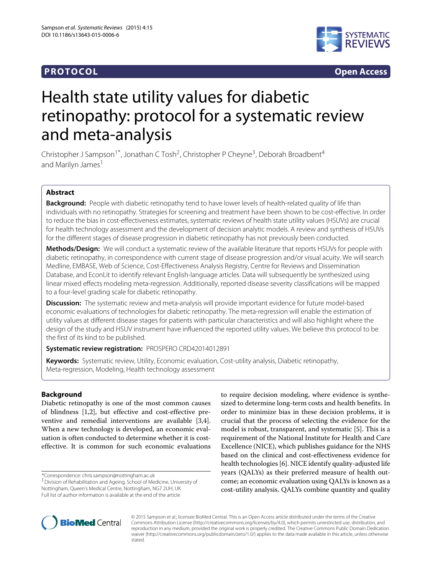

**PROTOCOL Open Access**

# Health state utility values for diabetic retinopathy: protocol for a systematic review and meta-analysis

Christopher J Sampson<sup>1\*</sup>, Jonathan C Tosh<sup>2</sup>, Christopher P Cheyne<sup>3</sup>, Deborah Broadbent<sup>4</sup> and Marilyn James<sup>1</sup>

# **Abstract**

**Background:** People with diabetic retinopathy tend to have lower levels of health-related quality of life than individuals with no retinopathy. Strategies for screening and treatment have been shown to be cost-effective. In order to reduce the bias in cost-effectiveness estimates, systematic reviews of health state utility values (HSUVs) are crucial for health technology assessment and the development of decision analytic models. A review and synthesis of HSUVs for the different stages of disease progression in diabetic retinopathy has not previously been conducted.

**Methods/Design:** We will conduct a systematic review of the available literature that reports HSUVs for people with diabetic retinopathy, in correspondence with current stage of disease progression and/or visual acuity. We will search Medline, EMBASE, Web of Science, Cost-Effectiveness Analysis Registry, Centre for Reviews and Dissemination Database, and EconLit to identify relevant English-language articles. Data will subsequently be synthesized using linear mixed effects modeling meta-regression. Additionally, reported disease severity classifications will be mapped to a four-level grading scale for diabetic retinopathy.

**Discussion:** The systematic review and meta-analysis will provide important evidence for future model-based economic evaluations of technologies for diabetic retinopathy. The meta-regression will enable the estimation of utility values at different disease stages for patients with particular characteristics and will also highlight where the design of the study and HSUV instrument have influenced the reported utility values. We believe this protocol to be the first of its kind to be published.

**Systematic review registration:** PROSPERO [CRD42014012891](http://www.crd.york.ac.uk/PROSPERO/display_record.asp?ID=CRD42014012891)

**Keywords:** Systematic review, Utility, Economic evaluation, Cost-utility analysis, Diabetic retinopathy, Meta-regression, Modeling, Health technology assessment

# **Background**

Diabetic retinopathy is one of the most common causes of blindness [\[1](#page-4-0)[,2\]](#page-4-1), but effective and cost-effective preventive and remedial interventions are available [\[3,](#page-4-2)[4\]](#page-4-3). When a new technology is developed, an economic evaluation is often conducted to determine whether it is costeffective. It is common for such economic evaluations

\*Correspondence: [chris.sampson@nottingham.ac.uk](mailto: chris.sampson@nottingham.ac.uk)

to require decision modeling, where evidence is synthesized to determine long-term costs and health benefits. In order to minimize bias in these decision problems, it is crucial that the process of selecting the evidence for the model is robust, transparent, and systematic [\[5\]](#page-4-4). This is a requirement of the National Institute for Health and Care Excellence (NICE), which publishes guidance for the NHS based on the clinical and cost-effectiveness evidence for health technologies [\[6\]](#page-4-5). NICE identify quality-adjusted life years (QALYs) as their preferred measure of health outcome; an economic evaluation using QALYs is known as a cost-utility analysis. QALYs combine quantity and quality



© 2015 Sampson et al.; licensee BioMed Central. This is an Open Access article distributed under the terms of the Creative Commons Attribution License [\(http://creativecommons.org/licenses/by/4.0\)](http://creativecommons.org/licenses/by/4.0), which permits unrestricted use, distribution, and reproduction in any medium, provided the original work is properly credited. The Creative Commons Public Domain Dedication waiver [\(http://creativecommons.org/publicdomain/zero/1.0/\)](http://creativecommons.org/publicdomain/zero/1.0/) applies to the data made available in this article, unless otherwise stated.

<sup>&</sup>lt;sup>1</sup> Division of Rehabilitation and Ageing, School of Medicine, University of Nottingham, Queen's Medical Centre, Nottingham, NG7 2UH, UK Full list of author information is available at the end of the article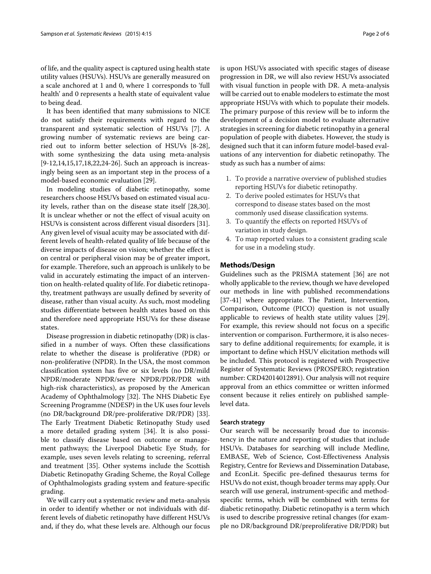of life, and the quality aspect is captured using health state utility values (HSUVs). HSUVs are generally measured on a scale anchored at 1 and 0, where 1 corresponds to 'full health' and 0 represents a health state of equivalent value to being dead.

It has been identified that many submissions to NICE do not satisfy their requirements with regard to the transparent and systematic selection of HSUVs [\[7\]](#page-4-6). A growing number of systematic reviews are being carried out to inform better selection of HSUVs [\[8](#page-4-7)[-28\]](#page-5-0), with some synthesizing the data using meta-analysis [\[9](#page-5-1)[-12,](#page-5-2)[14,](#page-5-3)[15,](#page-5-4)[17,](#page-5-5)[18,](#page-5-6)[22,](#page-5-7)[24](#page-5-8)[-26\]](#page-5-9). Such an approach is increasingly being seen as an important step in the process of a model-based economic evaluation [\[29\]](#page-5-10).

In modeling studies of diabetic retinopathy, some researchers choose HSUVs based on estimated visual acuity levels, rather than on the disease state itself [\[28,](#page-5-0)[30\]](#page-5-11). It is unclear whether or not the effect of visual acuity on HSUVs is consistent across different visual disorders [\[31\]](#page-5-12). Any given level of visual acuity may be associated with different levels of health-related quality of life because of the diverse impacts of disease on vision; whether the effect is on central or peripheral vision may be of greater import, for example. Therefore, such an approach is unlikely to be valid in accurately estimating the impact of an intervention on health-related quality of life. For diabetic retinopathy, treatment pathways are usually defined by severity of disease, rather than visual acuity. As such, most modeling studies differentiate between health states based on this and therefore need appropriate HSUVs for these disease states.

Disease progression in diabetic retinopathy (DR) is classified in a number of ways. Often these classifications relate to whether the disease is proliferative (PDR) or non-proliferative (NPDR). In the USA, the most common classification system has five or six levels (no DR/mild NPDR/moderate NPDR/severe NPDR/PDR/PDR with high-risk characteristics), as proposed by the American Academy of Ophthalmology [\[32\]](#page-5-13). The NHS Diabetic Eye Screening Programme (NDESP) in the UK uses four levels (no DR/background DR/pre-proliferative DR/PDR) [\[33\]](#page-5-14). The Early Treatment Diabetic Retinopathy Study used a more detailed grading system [\[34\]](#page-5-15). It is also possible to classify disease based on outcome or management pathways; the Liverpool Diabetic Eye Study, for example, uses seven levels relating to screening, referral and treatment [\[35\]](#page-5-16). Other systems include the Scottish Diabetic Retinopathy Grading Scheme, the Royal College of Ophthalmologists grading system and feature-specific grading.

We will carry out a systematic review and meta-analysis in order to identify whether or not individuals with different levels of diabetic retinopathy have different HSUVs and, if they do, what these levels are. Although our focus is upon HSUVs associated with specific stages of disease progression in DR, we will also review HSUVs associated with visual function in people with DR. A meta-analysis will be carried out to enable modelers to estimate the most appropriate HSUVs with which to populate their models. The primary purpose of this review will be to inform the development of a decision model to evaluate alternative strategies in screening for diabetic retinopathy in a general population of people with diabetes. However, the study is designed such that it can inform future model-based evaluations of any intervention for diabetic retinopathy. The study as such has a number of aims:

- 1. To provide a narrative overview of published studies reporting HSUVs for diabetic retinopathy.
- 2. To derive pooled estimates for HSUVs that correspond to disease states based on the most commonly used disease classification systems.
- 3. To quantify the effects on reported HSUVs of variation in study design.
- 4. To map reported values to a consistent grading scale for use in a modeling study.

#### **Methods/Design**

Guidelines such as the PRISMA statement [\[36\]](#page-5-17) are not wholly applicable to the review, though we have developed our methods in line with published recommendations [\[37-](#page-5-18)[41\]](#page-5-19) where appropriate. The Patient, Intervention, Comparison, Outcome (PICO) question is not usually applicable to reviews of health state utility values [\[29\]](#page-5-10). For example, this review should not focus on a specific intervention or comparison. Furthermore, it is also necessary to define additional requirements; for example, it is important to define which HSUV elicitation methods will be included. This protocol is registered with Prospective Register of Systematic Reviews (PROSPERO; registration number: CRD42014012891). Our analysis will not require approval from an ethics committee or written informed consent because it relies entirely on published samplelevel data.

#### **Search strategy**

Our search will be necessarily broad due to inconsistency in the nature and reporting of studies that include HSUVs. Databases for searching will include Medline, EMBASE, Web of Science, Cost-Effectiveness Analysis Registry, Centre for Reviews and Dissemination Database, and EconLit. Specific pre-defined thesaurus terms for HSUVs do not exist, though broader terms may apply. Our search will use general, instrument-specific and methodspecific terms, which will be combined with terms for diabetic retinopathy. Diabetic retinopathy is a term which is used to describe progressive retinal changes (for example no DR/background DR/preproliferative DR/PDR) but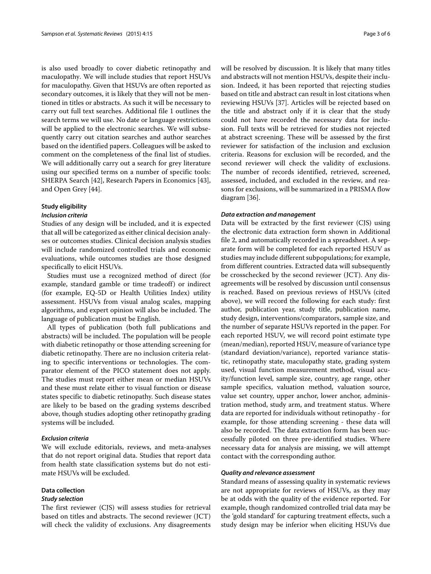is also used broadly to cover diabetic retinopathy and maculopathy. We will include studies that report HSUVs for maculopathy. Given that HSUVs are often reported as secondary outcomes, it is likely that they will not be mentioned in titles or abstracts. As such it will be necessary to carry out full text searches. Additional file [1](#page-4-8) outlines the search terms we will use. No date or language restrictions will be applied to the electronic searches. We will subsequently carry out citation searches and author searches based on the identified papers. Colleagues will be asked to comment on the completeness of the final list of studies. We will additionally carry out a search for grey literature using our specified terms on a number of specific tools: SHERPA Search [\[42\]](#page-5-20), Research Papers in Economics [\[43\]](#page-5-21), and Open Grey [\[44\]](#page-5-22).

# **Study eligibility**

#### *Inclusion criteria*

Studies of any design will be included, and it is expected that all will be categorized as either clinical decision analyses or outcomes studies. Clinical decision analysis studies will include randomized controlled trials and economic evaluations, while outcomes studies are those designed specifically to elicit HSUVs.

Studies must use a recognized method of direct (for example, standard gamble or time tradeoff) or indirect (for example, EQ-5D or Health Utilities Index) utility assessment. HSUVs from visual analog scales, mapping algorithms, and expert opinion will also be included. The language of publication must be English.

All types of publication (both full publications and abstracts) will be included. The population will be people with diabetic retinopathy or those attending screening for diabetic retinopathy. There are no inclusion criteria relating to specific interventions or technologies. The comparator element of the PICO statement does not apply. The studies must report either mean or median HSUVs and these must relate either to visual function or disease states specific to diabetic retinopathy. Such disease states are likely to be based on the grading systems described above, though studies adopting other retinopathy grading systems will be included.

# *Exclusion criteria*

We will exclude editorials, reviews, and meta-analyses that do not report original data. Studies that report data from health state classification systems but do not estimate HSUVs will be excluded.

#### **Data collection**

#### *Study selection*

The first reviewer (CJS) will assess studies for retrieval based on titles and abstracts. The second reviewer (JCT) will check the validity of exclusions. Any disagreements will be resolved by discussion. It is likely that many titles and abstracts will not mention HSUVs, despite their inclusion. Indeed, it has been reported that rejecting studies based on title and abstract can result in lost citations when reviewing HSUVs [\[37\]](#page-5-18). Articles will be rejected based on the title and abstract only if it is clear that the study could not have recorded the necessary data for inclusion. Full texts will be retrieved for studies not rejected at abstract screening. These will be assessed by the first reviewer for satisfaction of the inclusion and exclusion criteria. Reasons for exclusion will be recorded, and the second reviewer will check the validity of exclusions. The number of records identified, retrieved, screened, assessed, included, and excluded in the review, and reasons for exclusions, will be summarized in a PRISMA flow diagram [\[36\]](#page-5-17).

## *Data extraction and management*

Data will be extracted by the first reviewer (CJS) using the electronic data extraction form shown in Additional file [2,](#page-4-9) and automatically recorded in a spreadsheet. A separate form will be completed for each reported HSUV as studies may include different subpopulations; for example, from different countries. Extracted data will subsequently be crosschecked by the second reviewer (JCT). Any disagreements will be resolved by discussion until consensus is reached. Based on previous reviews of HSUVs (cited above), we will record the following for each study: first author, publication year, study title, publication name, study design, interventions/comparators, sample size, and the number of separate HSUVs reported in the paper. For each reported HSUV, we will record point estimate type (mean/median), reported HSUV, measure of variance type (standard deviation/variance), reported variance statistic, retinopathy state, maculopathy state, grading system used, visual function measurement method, visual acuity/function level, sample size, country, age range, other sample specifics, valuation method, valuation source, value set country, upper anchor, lower anchor, administration method, study arm, and treatment status. Where data are reported for individuals without retinopathy - for example, for those attending screening - these data will also be recorded. The data extraction form has been successfully piloted on three pre-identified studies. Where necessary data for analysis are missing, we will attempt contact with the corresponding author.

#### *Quality and relevance assessment*

Standard means of assessing quality in systematic reviews are not appropriate for reviews of HSUVs, as they may be at odds with the quality of the evidence reported. For example, though randomized controlled trial data may be the 'gold standard' for capturing treatment effects, such a study design may be inferior when eliciting HSUVs due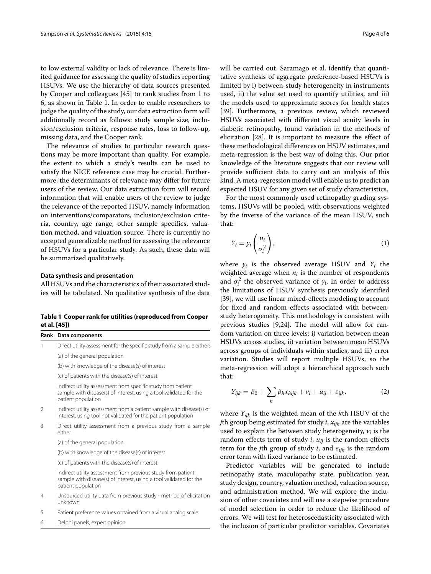to low external validity or lack of relevance. There is limited guidance for assessing the quality of studies reporting HSUVs. We use the hierarchy of data sources presented by Cooper and colleagues [\[45\]](#page-5-23) to rank studies from 1 to 6, as shown in Table [1.](#page-3-0) In order to enable researchers to judge the quality of the study, our data extraction form will additionally record as follows: study sample size, inclusion/exclusion criteria, response rates, loss to follow-up, missing data, and the Cooper rank.

The relevance of studies to particular research questions may be more important than quality. For example, the extent to which a study's results can be used to satisfy the NICE reference case may be crucial. Furthermore, the determinants of relevance may differ for future users of the review. Our data extraction form will record information that will enable users of the review to judge the relevance of the reported HSUV, namely information on interventions/comparators, inclusion/exclusion criteria, country, age range, other sample specifics, valuation method, and valuation source. There is currently no accepted generalizable method for assessing the relevance of HSUVs for a particular study. As such, these data will be summarized qualitatively.

#### **Data synthesis and presentation**

All HSUVs and the characteristics of their associated studies will be tabulated. No qualitative synthesis of the data

# <span id="page-3-0"></span>**Table 1 Cooper rank for utilities (reproduced from Cooper et al. [\[45\]](#page-5-23))**

**Rank Data components** 1 Direct utility assessment for the specific study from a sample either: (a) of the general population (b) with knowledge of the disease(s) of interest (c) of patients with the disease(s) of interest Indirect utility assessment from specific study from patient sample with disease(s) of interest, using a tool validated for the patient population 2 Indirect utility assessment from a patient sample with disease(s) of interest, using tool not validated for the patient population 3 Direct utility assessment from a previous study from a sample either (a) of the general population (b) with knowledge of the disease(s) of interest (c) of patients with the disease(s) of interest Indirect utility assessment from previous study from patient sample with disease(s) of interest, using a tool validated for the patient population 4 Unsourced utility data from previous study - method of elicitation unknown

- 5 Patient preference values obtained from a visual analog scale
- 6 Delphi panels, expert opinion

will be carried out. Saramago et al. identify that quantitative synthesis of aggregate preference-based HSUVs is limited by i) between-study heterogeneity in instruments used, ii) the value set used to quantify utilities, and iii) the models used to approximate scores for health states [\[39\]](#page-5-24). Furthermore, a previous review, which reviewed HSUVs associated with different visual acuity levels in diabetic retinopathy, found variation in the methods of elicitation [\[28\]](#page-5-0). It is important to measure the effect of these methodological differences on HSUV estimates, and meta-regression is the best way of doing this. Our prior knowledge of the literature suggests that our review will provide sufficient data to carry out an analysis of this kind. A meta-regression model will enable us to predict an expected HSUV for any given set of study characteristics.

For the most commonly used retinopathy grading systems, HSUVs will be pooled, with observations weighted by the inverse of the variance of the mean HSUV, such that:

$$
Y_i = y_i \left(\frac{n_i}{\sigma_i^2}\right),\tag{1}
$$

where  $y_i$  is the observed average HSUV and  $Y_i$  the weighted average when  $n_i$  is the number of respondents and  $\sigma_i^2$  the observed variance of  $y_i$ . In order to address the limitations of HSUV synthesis previously identified [\[39\]](#page-5-24), we will use linear mixed-effects modeling to account for fixed and random effects associated with betweenstudy heterogeneity. This methodology is consistent with previous studies [\[9](#page-5-1)[,24\]](#page-5-8). The model will allow for random variation on three levels: i) variation between mean HSUVs across studies, ii) variation between mean HSUVs across groups of individuals within studies, and iii) error variation. Studies will report multiple HSUVs, so the meta-regression will adopt a hierarchical approach such that:

$$
Y_{ijk} = \beta_0 + \sum_h \beta_h x_{hijk} + v_i + u_{ij} + \varepsilon_{ijk}, \qquad (2)
$$

where *Yijk* is the weighted mean of the *k*th HSUV of the *j*th group being estimated for study  $i$ ,  $x_{ijk}$  are the variables used to explain the between study heterogeneity,  $v_i$  is the random effects term of study  $i$ ,  $u_{ij}$  is the random effects term for the *j*th group of study *i*, and  $\varepsilon_{ijk}$  is the random error term with fixed variance to be estimated.

Predictor variables will be generated to include retinopathy state, maculopathy state, publication year, study design, country, valuation method, valuation source, and administration method. We will explore the inclusion of other covariates and will use a stepwise procedure of model selection in order to reduce the likelihood of errors. We will test for heteroscedasticity associated with the inclusion of particular predictor variables. Covariates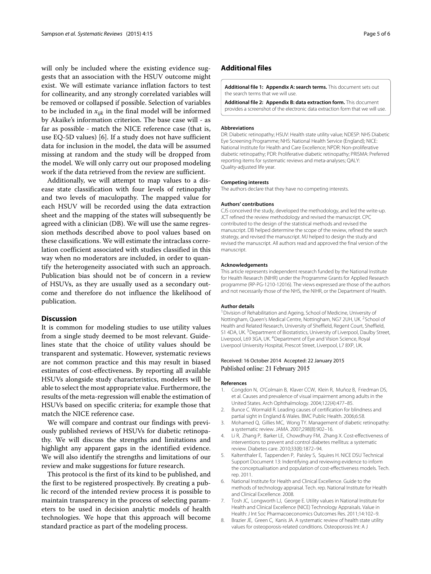will only be included where the existing evidence suggests that an association with the HSUV outcome might exist. We will estimate variance inflation factors to test for collinearity, and any strongly correlated variables will be removed or collapsed if possible. Selection of variables to be included in  $x_{ijk}$  in the final model will be informed by Akaike's information criterion. The base case will - as far as possible - match the NICE reference case (that is, use EQ-5D values) [\[6\]](#page-4-5). If a study does not have sufficient data for inclusion in the model, the data will be assumed missing at random and the study will be dropped from the model. We will only carry out our proposed modeling work if the data retrieved from the review are sufficient.

Additionally, we will attempt to map values to a disease state classification with four levels of retinopathy and two levels of maculopathy. The mapped value for each HSUV will be recorded using the data extraction sheet and the mapping of the states will subsequently be agreed with a clinician (DB). We will use the same regression methods described above to pool values based on these classifications. We will estimate the intraclass correlation coefficient associated with studies classified in this way when no moderators are included, in order to quantify the heterogeneity associated with such an approach. Publication bias should not be of concern in a review of HSUVs, as they are usually used as a secondary outcome and therefore do not influence the likelihood of publication.

#### **Discussion**

It is common for modeling studies to use utility values from a single study deemed to be most relevant. Guidelines state that the choice of utility values should be transparent and systematic. However, systematic reviews are not common practice and this may result in biased estimates of cost-effectiveness. By reporting all available HSUVs alongside study characteristics, modelers will be able to select the most appropriate value. Furthermore, the results of the meta-regression will enable the estimation of HSUVs based on specific criteria; for example those that match the NICE reference case.

We will compare and contrast our findings with previously published reviews of HSUVs for diabetic retinopathy. We will discuss the strengths and limitations and highlight any apparent gaps in the identified evidence. We will also identify the strengths and limitations of our review and make suggestions for future research.

This protocol is the first of its kind to be published, and the first to be registered prospectively. By creating a public record of the intended review process it is possible to maintain transparency in the process of selecting parameters to be used in decision analytic models of health technologies. We hope that this approach will become standard practice as part of the modeling process.

#### **Additional files**

<span id="page-4-8"></span>**[Additional file 1:](http://www.biomedcentral.com/content/supplementary/s13643-015-0006-6-s1.pdf) Appendix A: search terms.** This document sets out the search terms that we will use.

<span id="page-4-9"></span>**[Additional file 2:](http://www.biomedcentral.com/content/supplementary/s13643-015-0006-6-s2.pdf) Appendix B: data extraction form.** This document provides a screenshot of the electronic data extraction form that we will use.

#### **Abbreviations**

DR: Diabetic retinopathy; HSUV: Health state utility value; NDESP: NHS Diabetic Eye Screening Programme; NHS: National Health Service (England); NICE: National Institute for Health and Care Excellence; NPDR: Non-proliferative diabetic retinopathy; PDR: Proliferative diabetic retinopathy; PRISMA: Preferred reporting items for systematic reviews and meta-analyses; QALY: Quality-adjusted life year.

#### **Competing interests**

The authors declare that they have no competing interests.

#### **Authors' contributions**

CJS conceived the study, developed the methodology, and led the write-up. JCT refined the review methodology and revised the manuscript. CPC contributed to the design of the statistical methods and revised the manuscript. DB helped determine the scope of the review, refined the search strategy, and revised the manuscript. MJ helped to design the study and revised the manuscript. All authors read and approved the final version of the manuscript.

#### **Acknowledgements**

This article represents independent research funded by the National Institute for Health Research (NIHR) under the Programme Grants for Applied Research programme (RP-PG-1210-12016). The views expressed are those of the authors and not necessarily those of the NHS, the NIHR, or the Department of Health.

#### **Author details**

<sup>1</sup> Division of Rehabilitation and Ageing, School of Medicine, University of Nottingham, Queen's Medical Centre, Nottingham, NG7 2UH, UK. <sup>2</sup> School of Health and Related Research, University of Sheffield, Regent Court, Sheffield, S1 4DA, UK.<sup>3</sup> Department of Biostatistics, University of Liverpool, Daulby Street, Liverpool, L69 3GA, UK. 4Department of Eye and Vision Science, Royal Liverpool University Hospital, Prescot Street, Liverpool, L7 8XP, UK.

#### Received: 16 October 2014 Accepted: 22 January 2015 Published online: 21 February 2015

#### **References**

- <span id="page-4-0"></span>1. Congdon N, O'Colmain B, Klaver CCW, Klein R, Muñoz B, Friedman DS, et al. Causes and prevalence of visual impairment among adults in the United States. Arch Ophthalmology. 2004;122(4):477–85.
- <span id="page-4-1"></span>2. Bunce C. Wormald R. Leading causes of certification for blindness and partial sight in England & Wales. BMC Public Health. 2006;6:58.
- <span id="page-4-2"></span>3. Mohamed Q, Gillies MC, Wong TY. Management of diabetic retinopathy: a systematic review. JAMA. 2007;298(8):902–16.
- <span id="page-4-3"></span>4. Li R, Zhang P, Barker LE, Chowdhury FM, Zhang X. Cost-effectiveness of interventions to prevent and control diabetes mellitus: a systematic review. Diabetes care. 2010;33(8):1872–94.
- <span id="page-4-4"></span>Kaltenthaler E, Tappenden P, Paisley S, Squires H. NICE DSU Technical Support Document 13: Indentifying and reviewing evidence to inform the conceptualisation and population of cost-effectiveness models. Tech. rep. 2011.
- <span id="page-4-5"></span>6. National Institute for Health and Clinical Excellence. Guide to the methods of technology appraisal. Tech. rep. National Institute for Health and Clinical Excellence. 2008.
- <span id="page-4-6"></span>Tosh JC, Longworth LJ, George E. Utility values in National Institute for Health and Clinical Excellence (NICE) Technology Appraisals. Value in Health: J Int Soc Pharmacoeconomics Outcomes Res. 2011;14:102–9.
- <span id="page-4-7"></span>8. Brazier JE, Green C, Kanis JA. A systematic review of health state utility values for osteoporosis-related conditions. Osteoporosis Int: A J